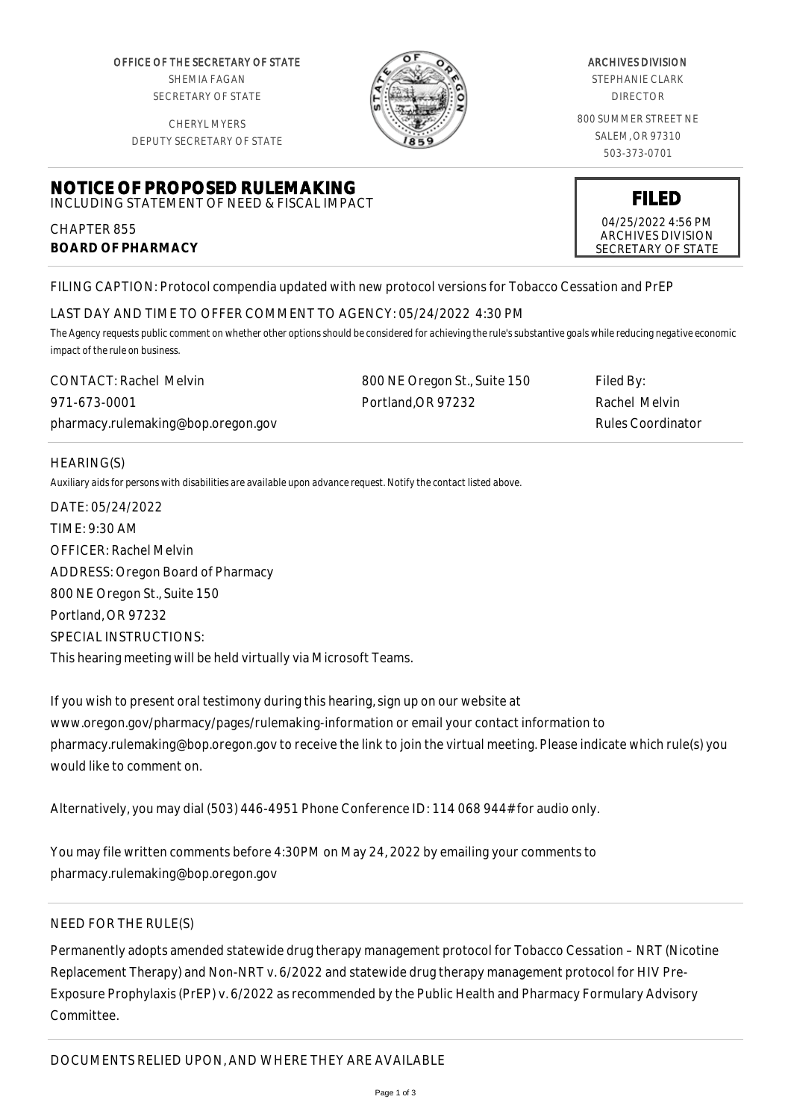OFFICE OF THE SECRETARY OF STATE SHEMIA FAGAN SECRETARY OF STATE

CHERYL MYERS



#### ARCHIVES DIVISION

STEPHANIE CLARK DIRECTOR

800 SUMMER STREET NE SALEM, OR 97310 503-373-0701

> **FILED** 04/25/2022 4:56 PM ARCHIVES DIVISION SECRETARY OF STATE

DEPUTY SECRETARY OF STATE

# **NOTICE OF PROPOSED RULEMAKING** INCLUDING STATEMENT OF NEED & FISCAL IMPACT

CHAPTER 855 **BOARD OF PHARMACY**

FILING CAPTION: Protocol compendia updated with new protocol versions for Tobacco Cessation and PrEP

# LAST DAY AND TIME TO OFFER COMMENT TO AGENCY: 05/24/2022 4:30 PM

*The Agency requests public comment on whether other options should be considered for achieving the rule's substantive goals while reducing negative economic impact of the rule on business.*

| <b>CONTACT: Rachel Melvin</b>      | 800 NE Oregon St., Suite 150 | Filed By:                |
|------------------------------------|------------------------------|--------------------------|
| 971-673-0001                       | Portland.OR 97232            | Rachel Melvin            |
| pharmacy.rulemaking@bop.oregon.gov |                              | <b>Rules Coordinator</b> |

## HEARING(S)

*Auxiliary aids for persons with disabilities are available upon advance request. Notify the contact listed above.*

DATE: 05/24/2022 TIME: 9:30 AM OFFICER: Rachel Melvin ADDRESS: Oregon Board of Pharmacy 800 NE Oregon St., Suite 150 Portland, OR 97232 SPECIAL INSTRUCTIONS: This hearing meeting will be held virtually via Microsoft Teams.

If you wish to present oral testimony during this hearing, sign up on our website at www.oregon.gov/pharmacy/pages/rulemaking-information or email your contact information to pharmacy.rulemaking@bop.oregon.gov to receive the link to join the virtual meeting. Please indicate which rule(s) you would like to comment on.

Alternatively, you may dial (503) 446-4951 Phone Conference ID: 114 068 944# for audio only.

You may file written comments before 4:30PM on May 24, 2022 by emailing your comments to pharmacy.rulemaking@bop.oregon.gov

## NEED FOR THE RULE(S)

Permanently adopts amended statewide drug therapy management protocol for Tobacco Cessation – NRT (Nicotine Replacement Therapy) and Non-NRT v. 6/2022 and statewide drug therapy management protocol for HIV Pre-Exposure Prophylaxis (PrEP) v. 6/2022 as recommended by the Public Health and Pharmacy Formulary Advisory Committee.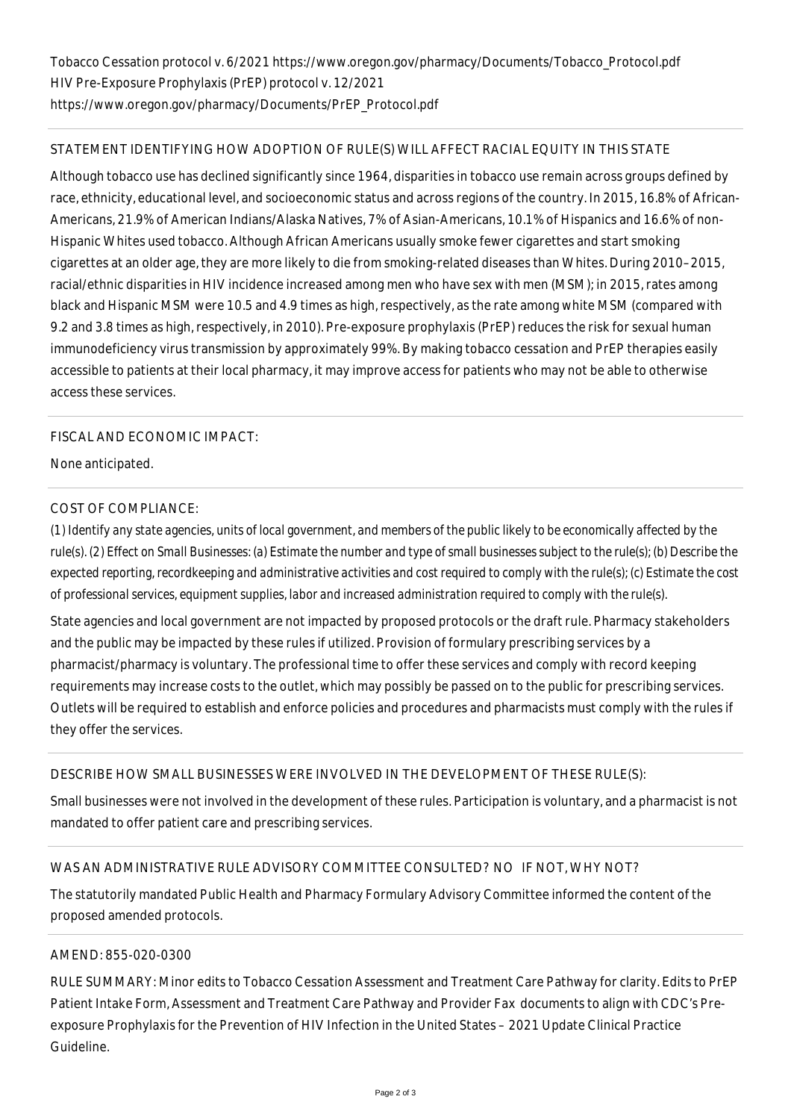## STATEMENT IDENTIFYING HOW ADOPTION OF RULE(S) WILL AFFECT RACIAL EQUITY IN THIS STATE

Although tobacco use has declined significantly since 1964, disparities in tobacco use remain across groups defined by race, ethnicity, educational level, and socioeconomic status and across regions of the country. In 2015, 16.8% of African-Americans, 21.9% of American Indians/Alaska Natives, 7% of Asian-Americans, 10.1% of Hispanics and 16.6% of non-Hispanic Whites used tobacco. Although African Americans usually smoke fewer cigarettes and start smoking cigarettes at an older age, they are more likely to die from smoking-related diseases than Whites. During 2010–2015, racial/ethnic disparities in HIV incidence increased among men who have sex with men (MSM); in 2015, rates among black and Hispanic MSM were 10.5 and 4.9 times as high, respectively, as the rate among white MSM (compared with 9.2 and 3.8 times as high, respectively, in 2010). Pre-exposure prophylaxis (PrEP) reduces the risk for sexual human immunodeficiency virus transmission by approximately 99%. By making tobacco cessation and PrEP therapies easily accessible to patients at their local pharmacy, it may improve access for patients who may not be able to otherwise access these services.

## FISCAL AND ECONOMIC IMPACT:

None anticipated.

#### COST OF COMPLIANCE:

*(1) Identify any state agencies, units of local government, and members of the public likely to be economically affected by the rule(s). (2) Effect on Small Businesses: (a) Estimate the number and type of small businesses subject to the rule(s); (b) Describe the expected reporting, recordkeeping and administrative activities and cost required to comply with the rule(s); (c) Estimate the cost of professional services, equipment supplies, labor and increased administration required to comply with the rule(s).*

State agencies and local government are not impacted by proposed protocols or the draft rule. Pharmacy stakeholders and the public may be impacted by these rules if utilized. Provision of formulary prescribing services by a pharmacist/pharmacy is voluntary. The professional time to offer these services and comply with record keeping requirements may increase costs to the outlet, which may possibly be passed on to the public for prescribing services. Outlets will be required to establish and enforce policies and procedures and pharmacists must comply with the rules if they offer the services.

#### DESCRIBE HOW SMALL BUSINESSES WERE INVOLVED IN THE DEVELOPMENT OF THESE RULE(S):

Small businesses were not involved in the development of these rules. Participation is voluntary, and a pharmacist is not mandated to offer patient care and prescribing services.

## WAS AN ADMINISTRATIVE RULE ADVISORY COMMITTEE CONSULTED? NO IF NOT, WHY NOT?

The statutorily mandated Public Health and Pharmacy Formulary Advisory Committee informed the content of the proposed amended protocols.

#### AMEND: 855-020-0300

RULE SUMMARY: Minor edits to Tobacco Cessation Assessment and Treatment Care Pathway for clarity. Edits to PrEP Patient Intake Form, Assessment and Treatment Care Pathway and Provider Fax documents to align with CDC's Preexposure Prophylaxis for the Prevention of HIV Infection in the United States – 2021 Update Clinical Practice Guideline.